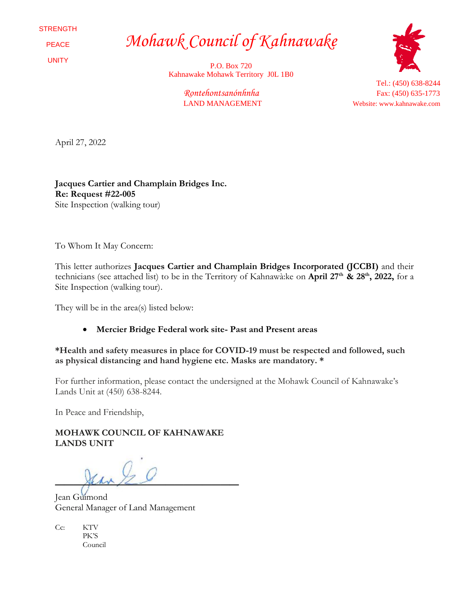**STRENGTH** 

PEACE

UNITY

*Mohawk Council of Kahnawake*

P.O. Box 720 Kahnawake Mohawk Territory J0L 1B0



Tel.: (450) 638-8244 *Rontehontsanónhnha* Fax: (450) 635-1773 LAND MANAGEMENT Website: www.kahnawake.com

April 27, 2022

**Jacques Cartier and Champlain Bridges Inc. Re: Request #22-005** Site Inspection (walking tour)

To Whom It May Concern:

This letter authorizes **Jacques Cartier and Champlain Bridges Incorporated (JCCBI)** and their technicians (see attached list) to be in the Territory of Kahnawà:ke on **April 27th & 28th , 2022,** for a Site Inspection (walking tour).

They will be in the area(s) listed below:

## • **Mercier Bridge Federal work site- Past and Present areas**

**\*Health and safety measures in place for COVID-19 must be respected and followed, such as physical distancing and hand hygiene etc. Masks are mandatory. \***

For further information, please contact the undersigned at the Mohawk Council of Kahnawake's Lands Unit at (450) 638-8244.

In Peace and Friendship,

**MOHAWK COUNCIL OF KAHNAWAKE LANDS UNIT**

**————————————————————**

Jean Guimond General Manager of Land Management

Cc: KTV PK'S Council